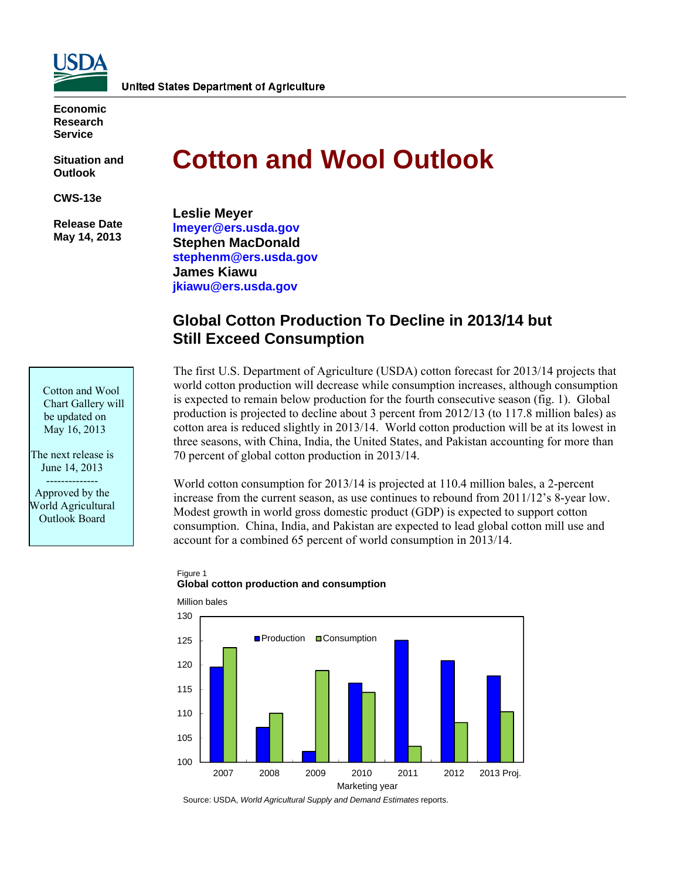

**Economic Research Service** 

**Situation and Outlook** 

**CWS-13e** 

 **Release Date May 14, 2013** 

Cotton and Wool Chart Gallery will be updated on May 16, 2013

The next release is June 14, 2013 -------------- Approved by the World Agricultural Outlook Board

# **Cotton and Wool Outlook**

**Leslie Meyer [lmeyer@ers.usda.gov](mailto:lmeyer@ers.usda.gov)  Stephen MacDonald [stephenm@ers.usda.gov](mailto:stephenm@ers.usda.gov)  James Kiawu [jkiawu@ers.usda.gov](mailto:jkiawu@ers.usda.gov)** 

# **Global Cotton Production To Decline in 2013/14 but Still Exceed Consumption**

The first U.S. Department of Agriculture (USDA) cotton forecast for 2013/14 projects that world cotton production will decrease while consumption increases, although consumption is expected to remain below production for the fourth consecutive season (fig. 1). Global production is projected to decline about 3 percent from 2012/13 (to 117.8 million bales) as cotton area is reduced slightly in 2013/14. World cotton production will be at its lowest in three seasons, with China, India, the United States, and Pakistan accounting for more than 70 percent of global cotton production in 2013/14.

World cotton consumption for 2013/14 is projected at 110.4 million bales, a 2-percent increase from the current season, as use continues to rebound from 2011/12's 8-year low. Modest growth in world gross domestic product (GDP) is expected to support cotton consumption. China, India, and Pakistan are expected to lead global cotton mill use and account for a combined 65 percent of world consumption in 2013/14.

#### Figure 1 **Global cotton production and consumption**



Source: USDA, *World Agricultural Supply and Demand Estimates* reports.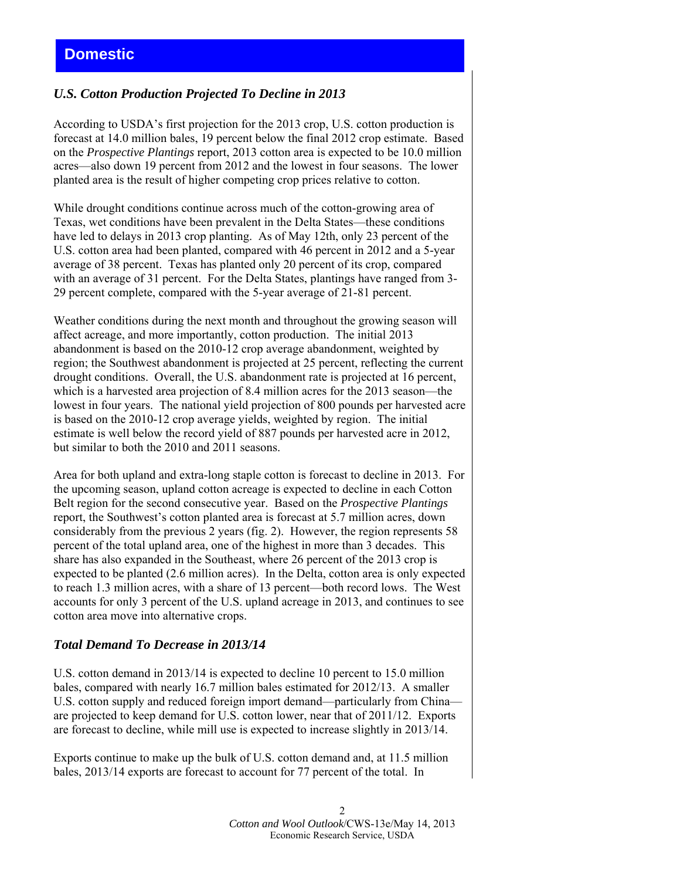# **Domestic**

# *U.S. Cotton Production Projected To Decline in 2013*

According to USDA's first projection for the 2013 crop, U.S. cotton production is forecast at 14.0 million bales, 19 percent below the final 2012 crop estimate. Based on the *Prospective Plantings* report, 2013 cotton area is expected to be 10.0 million acres—also down 19 percent from 2012 and the lowest in four seasons. The lower planted area is the result of higher competing crop prices relative to cotton.

While drought conditions continue across much of the cotton-growing area of Texas, wet conditions have been prevalent in the Delta States—these conditions have led to delays in 2013 crop planting. As of May 12th, only 23 percent of the U.S. cotton area had been planted, compared with 46 percent in 2012 and a 5-year average of 38 percent. Texas has planted only 20 percent of its crop, compared with an average of 31 percent. For the Delta States, plantings have ranged from 3-29 percent complete, compared with the 5-year average of 21-81 percent.

Weather conditions during the next month and throughout the growing season will affect acreage, and more importantly, cotton production. The initial 2013 abandonment is based on the 2010-12 crop average abandonment, weighted by region; the Southwest abandonment is projected at 25 percent, reflecting the current drought conditions. Overall, the U.S. abandonment rate is projected at 16 percent, which is a harvested area projection of 8.4 million acres for the 2013 season—the lowest in four years. The national yield projection of 800 pounds per harvested acre is based on the 2010-12 crop average yields, weighted by region. The initial estimate is well below the record yield of 887 pounds per harvested acre in 2012, but similar to both the 2010 and 2011 seasons.

Area for both upland and extra-long staple cotton is forecast to decline in 2013. For the upcoming season, upland cotton acreage is expected to decline in each Cotton Belt region for the second consecutive year. Based on the *Prospective Plantings* report, the Southwest's cotton planted area is forecast at 5.7 million acres, down considerably from the previous 2 years (fig. 2). However, the region represents 58 percent of the total upland area, one of the highest in more than 3 decades. This share has also expanded in the Southeast, where 26 percent of the 2013 crop is expected to be planted (2.6 million acres). In the Delta, cotton area is only expected to reach 1.3 million acres, with a share of 13 percent—both record lows. The West accounts for only 3 percent of the U.S. upland acreage in 2013, and continues to see cotton area move into alternative crops.

#### *Total Demand To Decrease in 2013/14*

U.S. cotton demand in 2013/14 is expected to decline 10 percent to 15.0 million bales, compared with nearly 16.7 million bales estimated for 2012/13. A smaller U.S. cotton supply and reduced foreign import demand—particularly from China are projected to keep demand for U.S. cotton lower, near that of 2011/12. Exports are forecast to decline, while mill use is expected to increase slightly in 2013/14.

Exports continue to make up the bulk of U.S. cotton demand and, at 11.5 million bales, 2013/14 exports are forecast to account for 77 percent of the total. In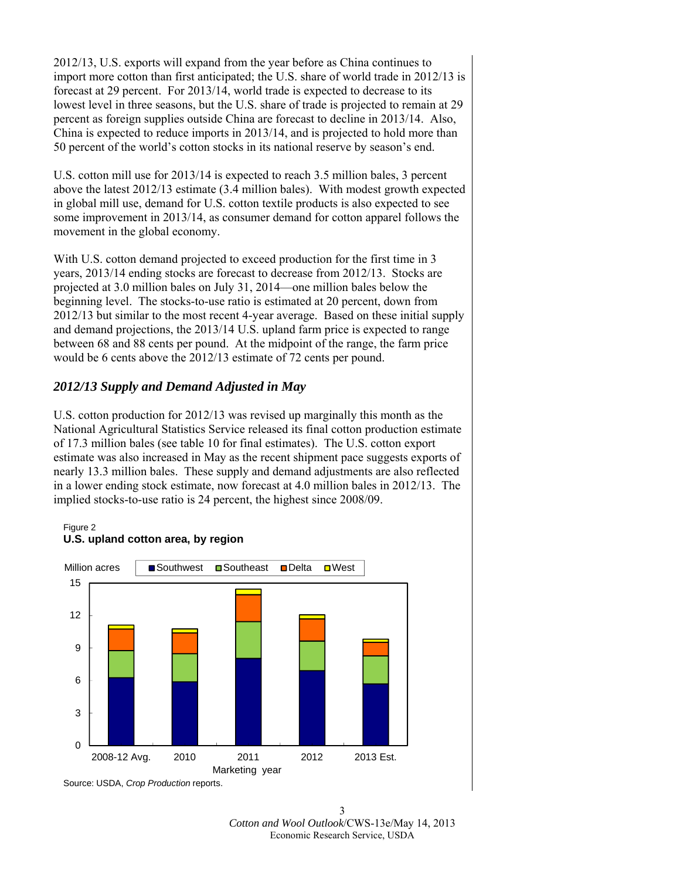2012/13, U.S. exports will expand from the year before as China continues to import more cotton than first anticipated; the U.S. share of world trade in 2012/13 is forecast at 29 percent. For 2013/14, world trade is expected to decrease to its lowest level in three seasons, but the U.S. share of trade is projected to remain at 29 percent as foreign supplies outside China are forecast to decline in 2013/14. Also, China is expected to reduce imports in 2013/14, and is projected to hold more than 50 percent of the world's cotton stocks in its national reserve by season's end.

U.S. cotton mill use for 2013/14 is expected to reach 3.5 million bales, 3 percent above the latest 2012/13 estimate (3.4 million bales). With modest growth expected in global mill use, demand for U.S. cotton textile products is also expected to see some improvement in 2013/14, as consumer demand for cotton apparel follows the movement in the global economy.

With U.S. cotton demand projected to exceed production for the first time in 3 years, 2013/14 ending stocks are forecast to decrease from 2012/13. Stocks are projected at 3.0 million bales on July 31, 2014—one million bales below the beginning level. The stocks-to-use ratio is estimated at 20 percent, down from 2012/13 but similar to the most recent 4-year average. Based on these initial supply and demand projections, the 2013/14 U.S. upland farm price is expected to range between 68 and 88 cents per pound. At the midpoint of the range, the farm price would be 6 cents above the 2012/13 estimate of 72 cents per pound.

# *2012/13 Supply and Demand Adjusted in May*

U.S. cotton production for 2012/13 was revised up marginally this month as the National Agricultural Statistics Service released its final cotton production estimate of 17.3 million bales (see table 10 for final estimates). The U.S. cotton export estimate was also increased in May as the recent shipment pace suggests exports of nearly 13.3 million bales. These supply and demand adjustments are also reflected in a lower ending stock estimate, now forecast at 4.0 million bales in 2012/13. The implied stocks-to-use ratio is 24 percent, the highest since 2008/09.



**U.S. upland cotton area, by region**

Figure 2

<sup>3</sup>  *Cotton and Wool Outlook*/CWS-13e/May 14, 2013 Economic Research Service, USDA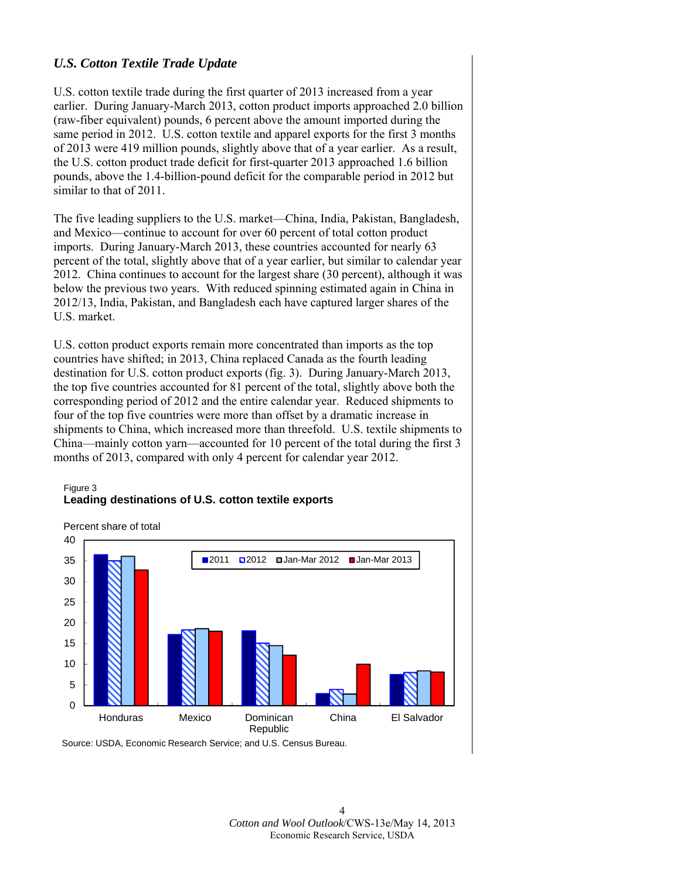# *U.S. Cotton Textile Trade Update*

U.S. cotton textile trade during the first quarter of 2013 increased from a year earlier. During January-March 2013, cotton product imports approached 2.0 billion (raw-fiber equivalent) pounds, 6 percent above the amount imported during the same period in 2012. U.S. cotton textile and apparel exports for the first 3 months of 2013 were 419 million pounds, slightly above that of a year earlier. As a result, the U.S. cotton product trade deficit for first-quarter 2013 approached 1.6 billion pounds, above the 1.4-billion-pound deficit for the comparable period in 2012 but similar to that of 2011.

The five leading suppliers to the U.S. market—China, India, Pakistan, Bangladesh, and Mexico—continue to account for over 60 percent of total cotton product imports. During January-March 2013, these countries accounted for nearly 63 percent of the total, slightly above that of a year earlier, but similar to calendar year 2012. China continues to account for the largest share (30 percent), although it was below the previous two years. With reduced spinning estimated again in China in 2012/13, India, Pakistan, and Bangladesh each have captured larger shares of the U.S. market.

U.S. cotton product exports remain more concentrated than imports as the top countries have shifted; in 2013, China replaced Canada as the fourth leading destination for U.S. cotton product exports (fig. 3). During January-March 2013, the top five countries accounted for 81 percent of the total, slightly above both the corresponding period of 2012 and the entire calendar year. Reduced shipments to four of the top five countries were more than offset by a dramatic increase in shipments to China, which increased more than threefold. U.S. textile shipments to China—mainly cotton yarn—accounted for 10 percent of the total during the first 3 months of 2013, compared with only 4 percent for calendar year 2012.

#### Figure 3 **Leading destinations of U.S. cotton textile exports**



Source: USDA, Economic Research Service; and U.S. Census Bureau.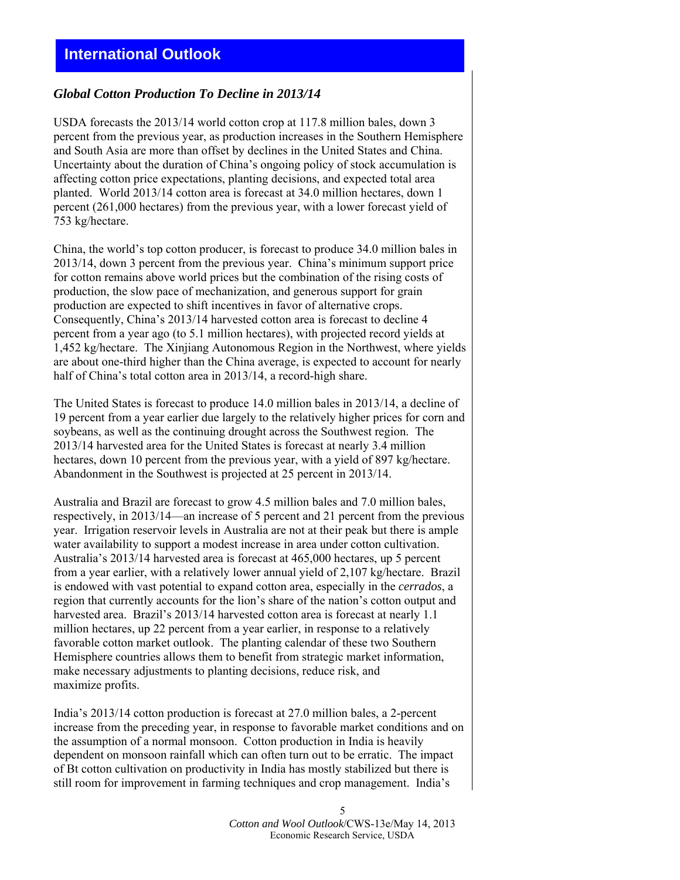# *Global Cotton Production To Decline in 2013/14*

USDA forecasts the 2013/14 world cotton crop at 117.8 million bales, down 3 percent from the previous year, as production increases in the Southern Hemisphere and South Asia are more than offset by declines in the United States and China. Uncertainty about the duration of China's ongoing policy of stock accumulation is affecting cotton price expectations, planting decisions, and expected total area planted. World 2013/14 cotton area is forecast at 34.0 million hectares, down 1 percent (261,000 hectares) from the previous year, with a lower forecast yield of 753 kg/hectare.

China, the world's top cotton producer, is forecast to produce 34.0 million bales in 2013/14, down 3 percent from the previous year. China's minimum support price for cotton remains above world prices but the combination of the rising costs of production, the slow pace of mechanization, and generous support for grain production are expected to shift incentives in favor of alternative crops. Consequently, China's 2013/14 harvested cotton area is forecast to decline 4 percent from a year ago (to 5.1 million hectares), with projected record yields at 1,452 kg/hectare. The Xinjiang Autonomous Region in the Northwest, where yields are about one-third higher than the China average, is expected to account for nearly half of China's total cotton area in 2013/14, a record-high share.

The United States is forecast to produce 14.0 million bales in 2013/14, a decline of 19 percent from a year earlier due largely to the relatively higher prices for corn and soybeans, as well as the continuing drought across the Southwest region. The 2013/14 harvested area for the United States is forecast at nearly 3.4 million hectares, down 10 percent from the previous year, with a yield of 897 kg/hectare. Abandonment in the Southwest is projected at 25 percent in 2013/14.

Australia and Brazil are forecast to grow 4.5 million bales and 7.0 million bales, respectively, in 2013/14—an increase of 5 percent and 21 percent from the previous year. Irrigation reservoir levels in Australia are not at their peak but there is ample water availability to support a modest increase in area under cotton cultivation. Australia's 2013/14 harvested area is forecast at 465,000 hectares, up 5 percent from a year earlier, with a relatively lower annual yield of 2,107 kg/hectare. Brazil is endowed with vast potential to expand cotton area, especially in the *cerrados*, a region that currently accounts for the lion's share of the nation's cotton output and harvested area. Brazil's 2013/14 harvested cotton area is forecast at nearly 1.1 million hectares, up 22 percent from a year earlier, in response to a relatively favorable cotton market outlook. The planting calendar of these two Southern Hemisphere countries allows them to benefit from strategic market information, make necessary adjustments to planting decisions, reduce risk, and maximize profits.

India's 2013/14 cotton production is forecast at 27.0 million bales, a 2-percent increase from the preceding year, in response to favorable market conditions and on the assumption of a normal monsoon. Cotton production in India is heavily dependent on monsoon rainfall which can often turn out to be erratic. The impact of Bt cotton cultivation on productivity in India has mostly stabilized but there is still room for improvement in farming techniques and crop management. India's

> *Cotton and Wool Outlook*/CWS-13e/May 14, 2013 Economic Research Service, USDA

5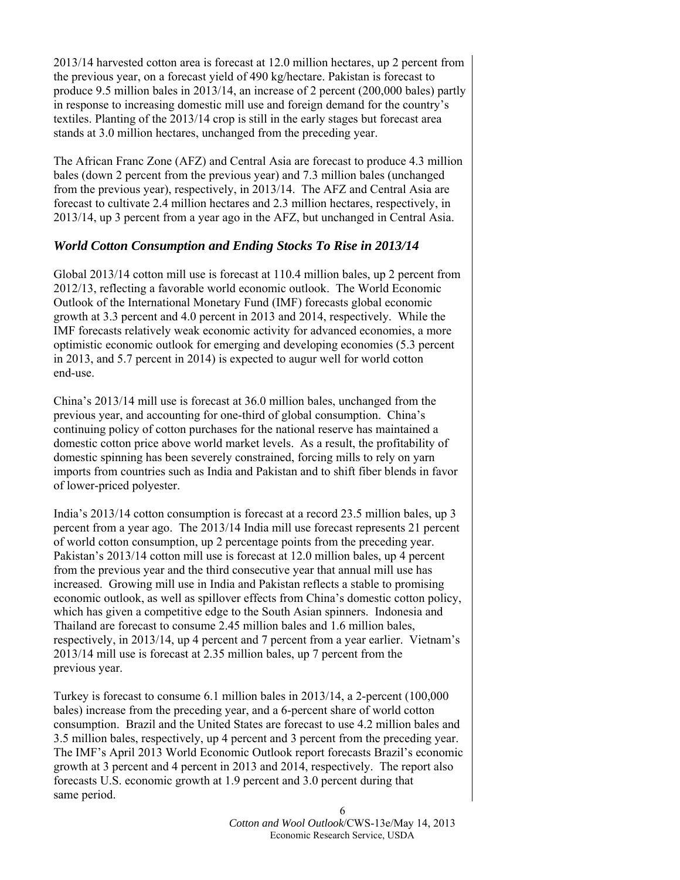2013/14 harvested cotton area is forecast at 12.0 million hectares, up 2 percent from the previous year, on a forecast yield of 490 kg/hectare. Pakistan is forecast to produce 9.5 million bales in 2013/14, an increase of 2 percent (200,000 bales) partly in response to increasing domestic mill use and foreign demand for the country's textiles. Planting of the 2013/14 crop is still in the early stages but forecast area stands at 3.0 million hectares, unchanged from the preceding year.

The African Franc Zone (AFZ) and Central Asia are forecast to produce 4.3 million bales (down 2 percent from the previous year) and 7.3 million bales (unchanged from the previous year), respectively, in 2013/14. The AFZ and Central Asia are forecast to cultivate 2.4 million hectares and 2.3 million hectares, respectively, in 2013/14, up 3 percent from a year ago in the AFZ, but unchanged in Central Asia.

#### *World Cotton Consumption and Ending Stocks To Rise in 2013/14*

Global 2013/14 cotton mill use is forecast at 110.4 million bales, up 2 percent from 2012/13, reflecting a favorable world economic outlook. The World Economic Outlook of the International Monetary Fund (IMF) forecasts global economic growth at 3.3 percent and 4.0 percent in 2013 and 2014, respectively. While the IMF forecasts relatively weak economic activity for advanced economies, a more optimistic economic outlook for emerging and developing economies (5.3 percent in 2013, and 5.7 percent in 2014) is expected to augur well for world cotton end-use.

China's 2013/14 mill use is forecast at 36.0 million bales, unchanged from the previous year, and accounting for one-third of global consumption. China's continuing policy of cotton purchases for the national reserve has maintained a domestic cotton price above world market levels. As a result, the profitability of domestic spinning has been severely constrained, forcing mills to rely on yarn imports from countries such as India and Pakistan and to shift fiber blends in favor of lower-priced polyester.

India's 2013/14 cotton consumption is forecast at a record 23.5 million bales, up 3 percent from a year ago. The 2013/14 India mill use forecast represents 21 percent of world cotton consumption, up 2 percentage points from the preceding year. Pakistan's 2013/14 cotton mill use is forecast at 12.0 million bales, up 4 percent from the previous year and the third consecutive year that annual mill use has increased. Growing mill use in India and Pakistan reflects a stable to promising economic outlook, as well as spillover effects from China's domestic cotton policy, which has given a competitive edge to the South Asian spinners. Indonesia and Thailand are forecast to consume 2.45 million bales and 1.6 million bales, respectively, in 2013/14, up 4 percent and 7 percent from a year earlier. Vietnam's 2013/14 mill use is forecast at 2.35 million bales, up 7 percent from the previous year.

Turkey is forecast to consume 6.1 million bales in 2013/14, a 2-percent (100,000 bales) increase from the preceding year, and a 6-percent share of world cotton consumption. Brazil and the United States are forecast to use 4.2 million bales and 3.5 million bales, respectively, up 4 percent and 3 percent from the preceding year. The IMF's April 2013 World Economic Outlook report forecasts Brazil's economic growth at 3 percent and 4 percent in 2013 and 2014, respectively. The report also forecasts U.S. economic growth at 1.9 percent and 3.0 percent during that same period.

> 6 *Cotton and Wool Outlook*/CWS-13e/May 14, 2013 Economic Research Service, USDA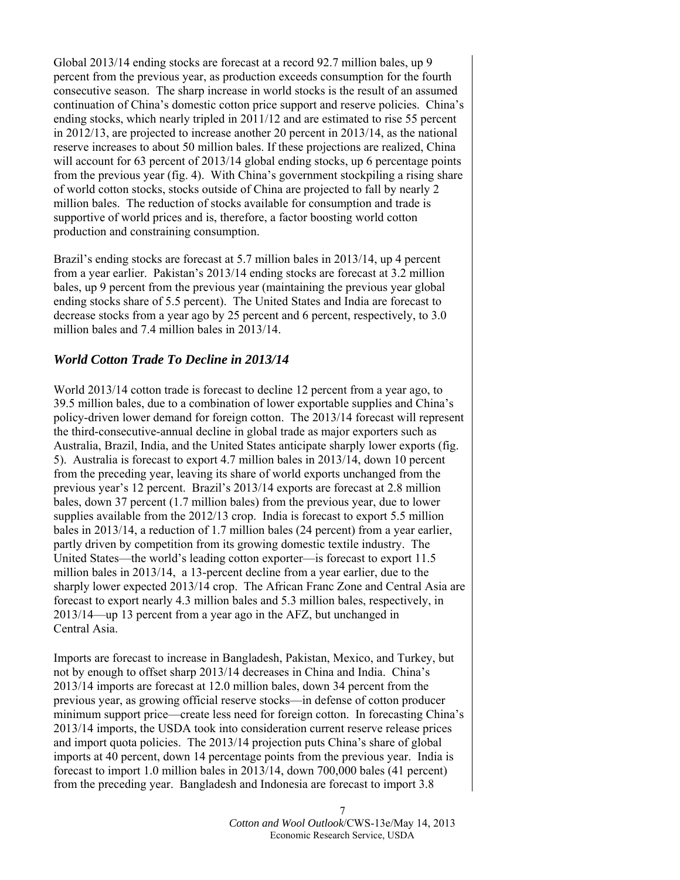Global 2013/14 ending stocks are forecast at a record 92.7 million bales, up 9 percent from the previous year, as production exceeds consumption for the fourth consecutive season. The sharp increase in world stocks is the result of an assumed continuation of China's domestic cotton price support and reserve policies. China's ending stocks, which nearly tripled in 2011/12 and are estimated to rise 55 percent in 2012/13, are projected to increase another 20 percent in 2013/14, as the national reserve increases to about 50 million bales. If these projections are realized, China will account for 63 percent of 2013/14 global ending stocks, up 6 percentage points from the previous year (fig. 4). With China's government stockpiling a rising share of world cotton stocks, stocks outside of China are projected to fall by nearly 2 million bales. The reduction of stocks available for consumption and trade is supportive of world prices and is, therefore, a factor boosting world cotton production and constraining consumption.

Brazil's ending stocks are forecast at 5.7 million bales in 2013/14, up 4 percent from a year earlier. Pakistan's 2013/14 ending stocks are forecast at 3.2 million bales, up 9 percent from the previous year (maintaining the previous year global ending stocks share of 5.5 percent). The United States and India are forecast to decrease stocks from a year ago by 25 percent and 6 percent, respectively, to 3.0 million bales and 7.4 million bales in 2013/14.

#### *World Cotton Trade To Decline in 2013/14*

World 2013/14 cotton trade is forecast to decline 12 percent from a year ago, to 39.5 million bales, due to a combination of lower exportable supplies and China's policy-driven lower demand for foreign cotton. The 2013/14 forecast will represent the third-consecutive-annual decline in global trade as major exporters such as Australia, Brazil, India, and the United States anticipate sharply lower exports (fig. 5). Australia is forecast to export 4.7 million bales in 2013/14, down 10 percent from the preceding year, leaving its share of world exports unchanged from the previous year's 12 percent. Brazil's 2013/14 exports are forecast at 2.8 million bales, down 37 percent (1.7 million bales) from the previous year, due to lower supplies available from the 2012/13 crop. India is forecast to export 5.5 million bales in 2013/14, a reduction of 1.7 million bales (24 percent) from a year earlier, partly driven by competition from its growing domestic textile industry. The United States—the world's leading cotton exporter—is forecast to export 11.5 million bales in 2013/14, a 13-percent decline from a year earlier, due to the sharply lower expected 2013/14 crop. The African Franc Zone and Central Asia are forecast to export nearly 4.3 million bales and 5.3 million bales, respectively, in 2013/14—up 13 percent from a year ago in the AFZ, but unchanged in Central Asia.

Imports are forecast to increase in Bangladesh, Pakistan, Mexico, and Turkey, but not by enough to offset sharp 2013/14 decreases in China and India. China's 2013/14 imports are forecast at 12.0 million bales, down 34 percent from the previous year, as growing official reserve stocks—in defense of cotton producer minimum support price—create less need for foreign cotton. In forecasting China's 2013/14 imports, the USDA took into consideration current reserve release prices and import quota policies. The 2013/14 projection puts China's share of global imports at 40 percent, down 14 percentage points from the previous year. India is forecast to import 1.0 million bales in 2013/14, down 700,000 bales (41 percent) from the preceding year. Bangladesh and Indonesia are forecast to import 3.8

> *Cotton and Wool Outlook*/CWS-13e/May 14, 2013 Economic Research Service, USDA

7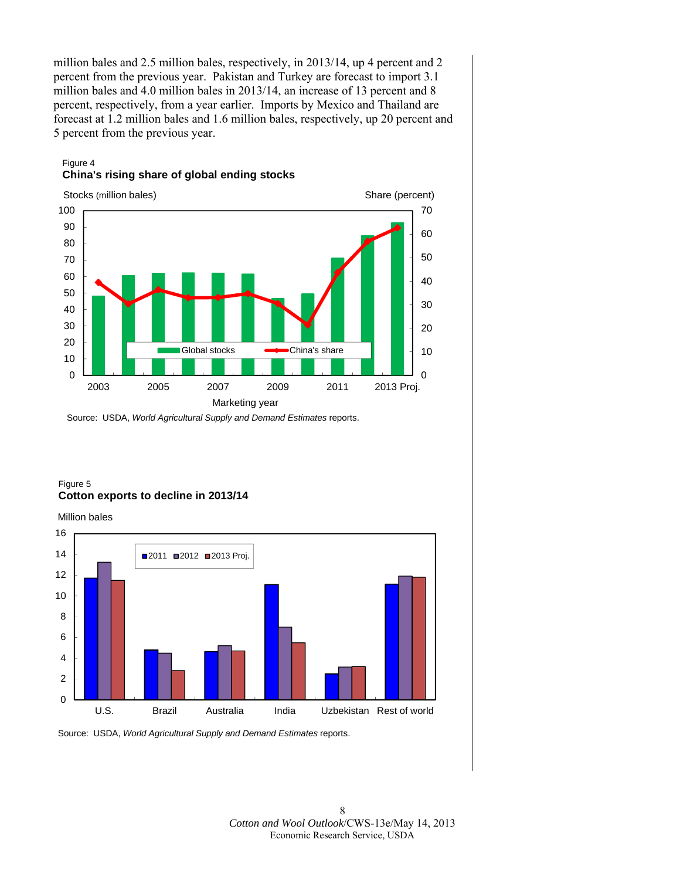million bales and 2.5 million bales, respectively, in 2013/14, up 4 percent and 2 percent from the previous year. Pakistan and Turkey are forecast to import 3.1 million bales and 4.0 million bales in 2013/14, an increase of 13 percent and 8 percent, respectively, from a year earlier. Imports by Mexico and Thailand are forecast at 1.2 million bales and 1.6 million bales, respectively, up 20 percent and 5 percent from the previous year.

# Figure 4 **China's rising share of global ending stocks**



Source: USDA, *World Agricultural Supply and Demand Estimates* reports.

#### Figure 5 **Cotton exports to decline in 2013/14**

Million bales



Source: USDA, *World Agricultural Supply and Demand Estimates* reports.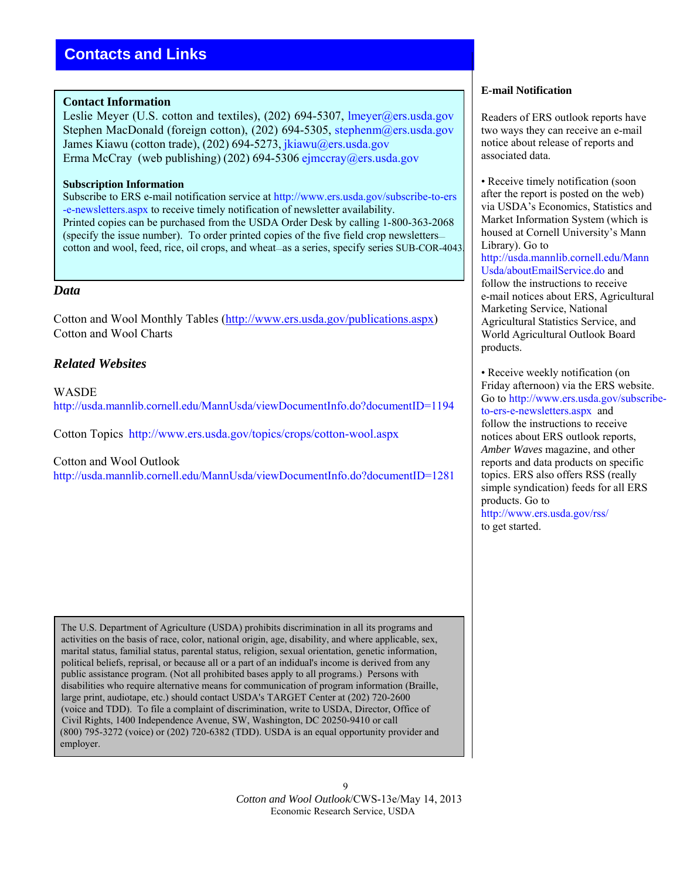#### **Contact Information**

Leslie Meyer (U.S. cotton and textiles), (202) 694-5307, lmeyer@ers.usda.gov Stephen MacDonald (foreign cotton), (202) 694-5305, stephenm@ers.usda.gov James Kiawu (cotton trade), (202) 694-5273, [jkiawu@ers.usda.gov](mailto:jkiawu@ers.usda.gov) Erma McCray (web publishing) (202) 694-5306 [ejmccray@ers.usda.gov](mailto:ejmccray@ers.usda.gov)

#### **Subscription Information**

Subscribe to ERS e-mail notification service at [http://www.ers.usda.gov/subscribe-to-ers](http://www.ers.usda.gov/subscribe-to-ers-e-newsletters.aspx) [-e-newsletters.aspx](http://www.ers.usda.gov/subscribe-to-ers-e-newsletters.aspx) to receive timely notification of newsletter availability. Printed copies can be purchased from the USDA Order Desk by calling 1-800-363-2068 (specify the issue number). To order printed copies of the five field crop newsletters cotton and wool, feed, rice, oil crops, and wheat—as a series, specify series SUB-COR-4043.

#### *Data*

Cotton and Wool Monthly Tables [\(http://www.ers.usda.gov/publications.aspx](http://www.ers.usda.gov/publications.aspx)) Cotton and Wool Charts

# *Related Websites*

**WASDE** <http://usda.mannlib.cornell.edu/MannUsda/viewDocumentInfo.do?documentID=1194>

Cotton Topics http://w[ww.ers.usda.gov/topics/crops/cotton-wool.aspx](http://www.ers.usda.gov/topics/crops/cotton-wool.aspx)

Cotton and Wool Outlook

<http://usda.mannlib.cornell.edu/MannUsda/viewDocumentInfo.do?documentID=1281>

 The U.S. Department of Agriculture (USDA) prohibits discrimination in all its programs and activities on the basis of race, color, national origin, age, disability, and where applicable, sex, marital status, familial status, parental status, religion, sexual orientation, genetic information, political beliefs, reprisal, or because all or a part of an indidual's income is derived from any public assistance program. (Not all prohibited bases apply to all programs.) Persons with disabilities who require alternative means for communication of program information (Braille, large print, audiotape, etc.) should contact USDA's TARGET Center at (202) 720-2600 (voice and TDD). To file a complaint of discrimination, write to USDA, Director, Office of Civil Rights, 1400 Independence Avenue, SW, Washington, DC 20250-9410 or call (800) 795-3272 (voice) or (202) 720-6382 (TDD). USDA is an equal opportunity provider and employer.

#### **E-mail Notification**

Readers of ERS outlook reports have two ways they can receive an e-mail notice about release of reports and associated data.

• Receive timely notification (soon) after the report is posted on the web) via USDA's Economics, Statistics and Market Information System (which is housed at Cornell University's Mann Library). Go to [http://usda.mannlib.cornell.edu/Mann](http://usda.mannlib.cornell.edu/MannUsda/aboutEmailService.do)  [Usda/aboutEmailService.do](http://usda.mannlib.cornell.edu/MannUsda/aboutEmailService.do) and follow the instructions to receive e-mail notices about ERS, Agricultural Marketing Service, National Agricultural Statistics Service, and World Agricultural Outlook Board products.

• Receive weekly notification (on Friday afternoon) via the ERS website. Go to [http://www.ers.usda.gov/subscribe](http://www.ers.usda.gov/subscribe-to-ers-e-newsletters.aspx)to-ers-e-newsletters.aspx and follow the instructions to receive notices about ERS outlook reports, *Amber Waves* magazine, and other reports and data products on specific topics. ERS also offers RSS (really simple syndication) feeds for all ERS products. Go to [http://www.ers.usda.gov/rss/](http://www.ers.usda.gov/rss)

to get started.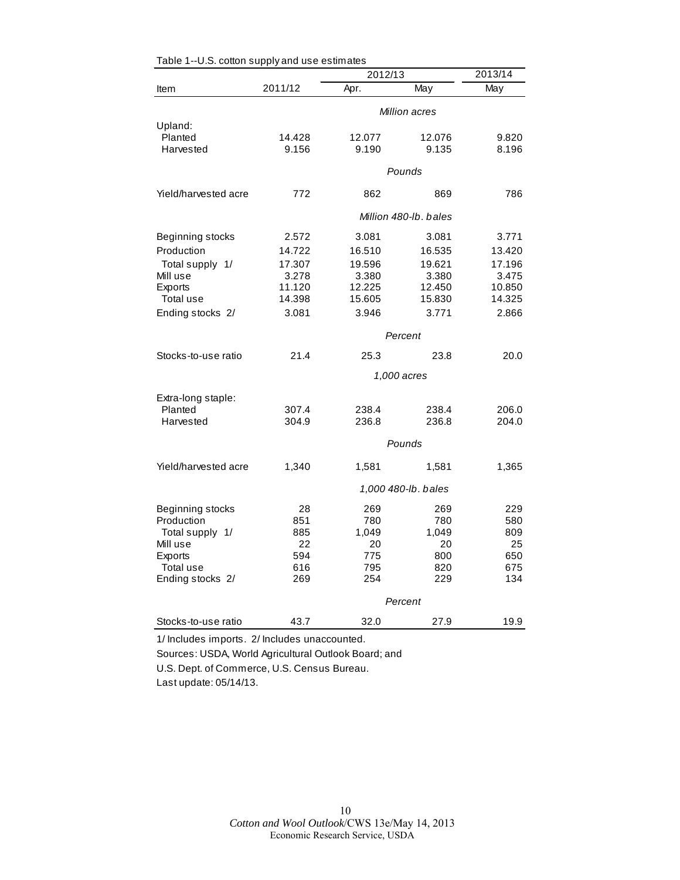| o.o. oo.ton ouppiy   | and doo opening to  | 2013/14               |               |           |  |  |
|----------------------|---------------------|-----------------------|---------------|-----------|--|--|
| Item                 | 2011/12             | 2012/13<br>Apr.       | May           | May       |  |  |
|                      |                     |                       | Million acres |           |  |  |
| Upland:              |                     |                       |               |           |  |  |
| Planted              | 14.428              | 12.077                | 12.076        | 9.820     |  |  |
| Harvested            | 9.156               | 9.190                 | 9.135         | 8.196     |  |  |
|                      |                     | Pounds                |               |           |  |  |
| Yield/harvested acre | 772                 | 862                   | 869           | 786       |  |  |
|                      |                     | Million 480-lb, bales |               |           |  |  |
| Beginning stocks     | 2.572               | 3.081                 | 3.081         | 3.771     |  |  |
| Production           | 14.722              | 16.510                | 16.535        | 13.420    |  |  |
| Total supply 1/      | 17.307              | 19.596                | 19.621        | 17.196    |  |  |
| Mill use             | 3.278               | 3.380                 | 3.380         | 3.475     |  |  |
| Exports              | 11.120              | 12.225                | 12.450        | 10.850    |  |  |
| Total use            | 14.398              | 15.605                | 15.830        | 14.325    |  |  |
| Ending stocks 2/     | 3.081               | 3.946                 | 3.771         | 2.866     |  |  |
|                      |                     |                       | Percent       |           |  |  |
| Stocks-to-use ratio  | 21.4                | 25.3                  | 23.8          | 20.0      |  |  |
|                      |                     |                       | 1,000 acres   |           |  |  |
| Extra-long staple:   |                     |                       |               |           |  |  |
| Planted              | 307.4               | 238.4                 | 238.4         | 206.0     |  |  |
| Harvested            | 304.9               | 236.8                 | 236.8         | 204.0     |  |  |
|                      |                     |                       | Pounds        |           |  |  |
| Yield/harvested acre | 1,340               | 1,581                 | 1,581         | 1,365     |  |  |
|                      | 1,000 480-lb. bales |                       |               |           |  |  |
|                      |                     |                       |               |           |  |  |
| Beginning stocks     | 28                  | 269                   | 269           | 229       |  |  |
| Production           | 851                 | 780                   | 780           | 580       |  |  |
| Total supply 1/      | 885                 | 1,049                 | 1,049         | 809       |  |  |
| Mill use             | 22<br>594           | 20<br>775             | 20<br>800     | 25<br>650 |  |  |
| Exports<br>Total use | 616                 | 795                   | 820           | 675       |  |  |
| Ending stocks 2/     | 269                 | 254                   | 229           | 134       |  |  |
|                      |                     |                       | Percent       |           |  |  |
|                      |                     |                       |               |           |  |  |
| Stocks-to-use ratio  | 43.7                | 32.0                  | 27.9          | 19.9      |  |  |

| Table 1--U.S. cotton supply and use estimates |  |  |  |  |  |
|-----------------------------------------------|--|--|--|--|--|
|-----------------------------------------------|--|--|--|--|--|

1/ Includes imports. 2/ Includes unaccounted.

Sources: USDA, World Agricultural Outlook Board; and

U.S. Dept. of Commerce, U.S. Census Bureau.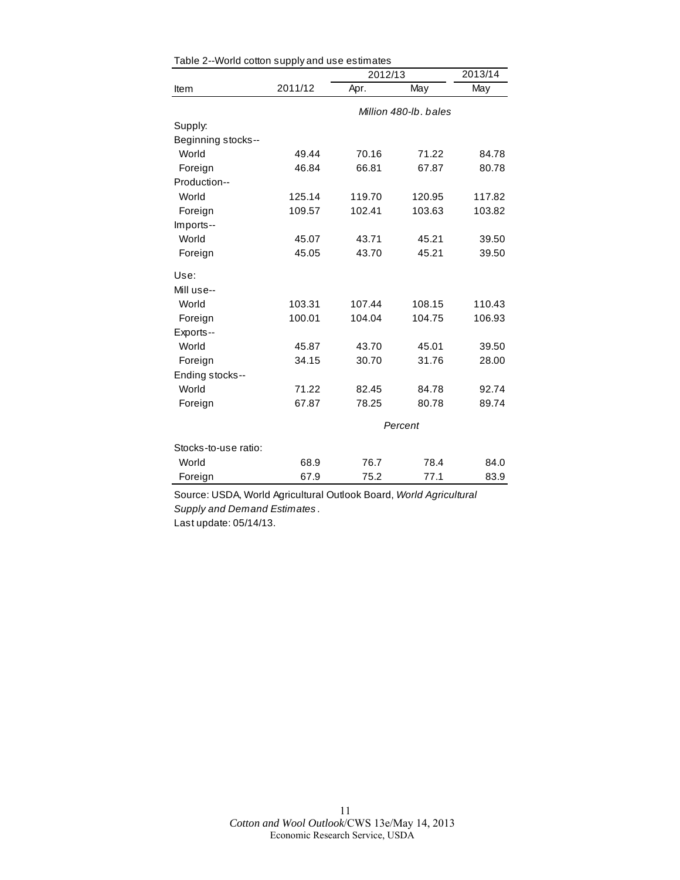|                      |         | 2012/13 |                       |        |  |
|----------------------|---------|---------|-----------------------|--------|--|
| Item                 | 2011/12 | Apr.    | May                   | May    |  |
|                      |         |         | Million 480-lb, bales |        |  |
| Supply:              |         |         |                       |        |  |
| Beginning stocks--   |         |         |                       |        |  |
| World                | 49.44   | 70.16   | 71.22                 | 84.78  |  |
| Foreign              | 46.84   | 66.81   | 67.87                 | 80.78  |  |
| Production--         |         |         |                       |        |  |
| World                | 125.14  | 119.70  | 120.95                | 117.82 |  |
| Foreign              | 109.57  | 102.41  | 103.63                | 103.82 |  |
| Imports--            |         |         |                       |        |  |
| World                | 45.07   | 43.71   | 45.21                 | 39.50  |  |
| Foreign              | 45.05   | 43.70   | 45.21                 | 39.50  |  |
| Use:                 |         |         |                       |        |  |
| Mill use--           |         |         |                       |        |  |
| World                | 103.31  | 107.44  | 108.15                | 110.43 |  |
| Foreign              | 100.01  | 104.04  | 104.75                | 106.93 |  |
| Exports--            |         |         |                       |        |  |
| World                | 45.87   | 43.70   | 45.01                 | 39.50  |  |
| Foreign              | 34.15   | 30.70   | 31.76                 | 28.00  |  |
| Ending stocks--      |         |         |                       |        |  |
| World                | 71.22   | 82.45   | 84.78                 | 92.74  |  |
| Foreign              | 67.87   | 78.25   | 80.78                 | 89.74  |  |
|                      | Percent |         |                       |        |  |
| Stocks-to-use ratio: |         |         |                       |        |  |
| World                | 68.9    | 76.7    | 78.4                  | 84.0   |  |
| Foreign              | 67.9    | 75.2    | 77.1                  | 83.9   |  |

| Table 2--World cotton supply and use estimates |  |
|------------------------------------------------|--|
|                                                |  |

Source: USDA, World Agricultural Outlook Board, *World Agricultural Supply and Demand Estimates* . Last update: 05/14/13.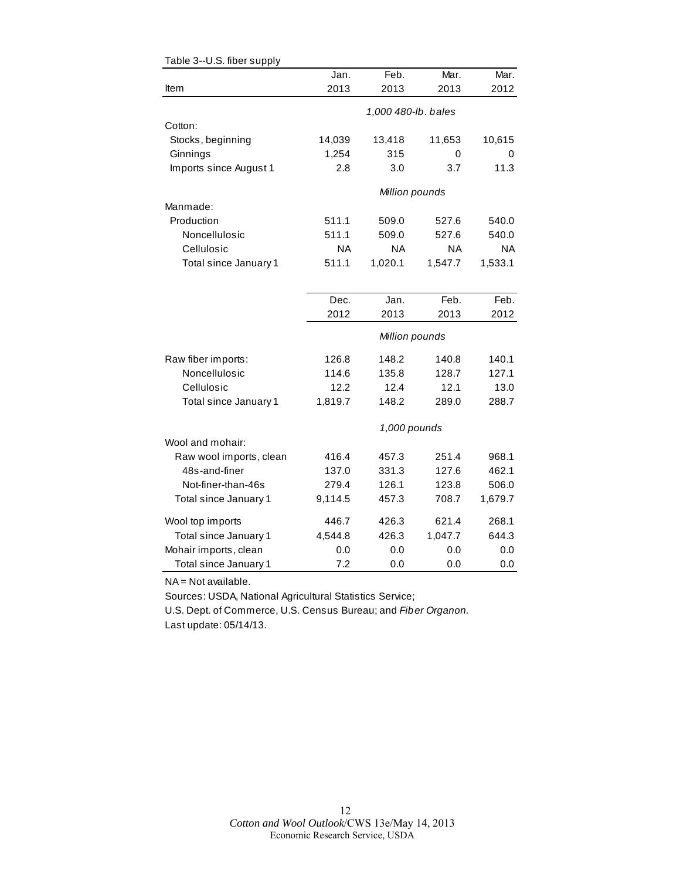|                         | Jan.    | Feb.                | Mar.      | Mar.      |
|-------------------------|---------|---------------------|-----------|-----------|
| Item                    | 2013    | 2013                | 2013      | 2012      |
|                         |         | 1,000 480-lb. bales |           |           |
| Cotton:                 |         |                     |           |           |
| Stocks, beginning       | 14,039  | 13,418              | 11,653    | 10,615    |
| Ginnings                | 1,254   | 315                 | 0         | 0         |
| Imports since August 1  | 2.8     | 3.0                 | 3.7       | 11.3      |
|                         |         | Million pounds      |           |           |
| Manmade:                |         |                     |           |           |
| Production              | 511.1   | 509.0               | 527.6     | 540.0     |
| Noncellulosic           | 511.1   | 509.0               | 527.6     | 540.0     |
| Cellulosic              | NA      | <b>NA</b>           | <b>NA</b> | <b>NA</b> |
| Total since January 1   | 511.1   | 1,020.1             | 1,547.7   | 1,533.1   |
|                         |         |                     |           |           |
|                         | Dec.    | Jan.                | Feb.      | Feb.      |
|                         | 2012    | 2013                | 2013      | 2012      |
|                         |         | Million pounds      |           |           |
| Raw fiber imports:      | 126.8   | 148.2               | 140.8     | 140.1     |
| Noncellulosic           | 114.6   | 135.8               | 128.7     | 127.1     |
| Cellulosic              | 12.2    | 12.4                | 12.1      | 13.0      |
| Total since January 1   | 1,819.7 | 148.2               | 289.0     | 288.7     |
|                         |         | 1,000 pounds        |           |           |
| Wool and mohair:        |         |                     |           |           |
| Raw wool imports, clean | 416.4   | 457.3               | 251.4     | 968.1     |
| 48s-and-finer           | 137.0   | 331.3               | 127.6     | 462.1     |
| Not-finer-than-46s      | 279.4   | 126.1               | 123.8     | 506.0     |
| Total since January 1   | 9,114.5 | 457.3               | 708.7     | 1,679.7   |
| Wool top imports        | 446.7   | 426.3               | 621.4     | 268.1     |
| Total since January 1   | 4,544.8 | 426.3               | 1,047.7   | 644.3     |
| Mohair imports, clean   | 0.0     | 0.0                 | 0.0       | 0.0       |
| Total since January 1   | 7.2     | 0.0                 | 0.0       | 0.0       |

#### Table 3--U.S. fiber supply

NA = Not available.

Sources: USDA, National Agricultural Statistics Service;

U.S. Dept. of Commerce, U.S. Census Bureau; and *Fiber Organon.* Last update: 05/14/13.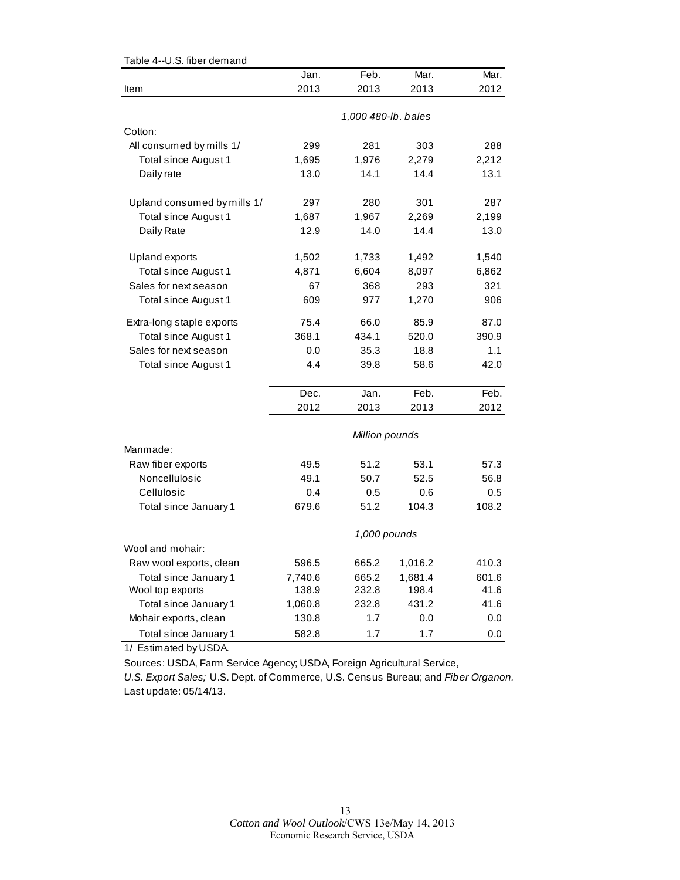| o.o. liber demand           |              |                     |              |              |  |  |
|-----------------------------|--------------|---------------------|--------------|--------------|--|--|
|                             | Jan.         | Feb.                | Mar.         | Mar.         |  |  |
| Item                        | 2013         | 2013                | 2013         | 2012         |  |  |
|                             |              | 1,000 480-lb. bales |              |              |  |  |
| Cotton:                     |              |                     |              |              |  |  |
| All consumed by mills 1/    | 299          | 281                 | 303          | 288          |  |  |
| Total since August 1        | 1,695        | 1,976               | 2,279        | 2,212        |  |  |
| Daily rate                  | 13.0         | 14.1                | 14.4         | 13.1         |  |  |
|                             |              |                     |              |              |  |  |
| Upland consumed by mills 1/ | 297          | 280                 | 301          | 287          |  |  |
| Total since August 1        | 1,687        | 1,967               | 2,269        | 2,199        |  |  |
| Daily Rate                  | 12.9         | 14.0                | 14.4         | 13.0         |  |  |
|                             |              |                     |              |              |  |  |
| Upland exports              | 1,502        | 1,733               | 1,492        | 1,540        |  |  |
| Total since August 1        | 4,871        | 6,604               | 8,097        | 6,862        |  |  |
| Sales for next season       | 67           | 368                 | 293          | 321          |  |  |
| Total since August 1        | 609          | 977                 | 1,270        | 906          |  |  |
| Extra-long staple exports   | 75.4         | 66.0                | 85.9         | 87.0         |  |  |
| Total since August 1        | 368.1        | 434.1               | 520.0        | 390.9        |  |  |
| Sales for next season       | 0.0          | 35.3                | 18.8         | 1.1          |  |  |
| Total since August 1        | 4.4          | 39.8                | 58.6         | 42.0         |  |  |
|                             |              |                     |              |              |  |  |
|                             | Dec.         | Jan.                | Feb.         | Feb.         |  |  |
|                             | 2012         | 2013                | 2013         | 2012         |  |  |
|                             |              |                     |              |              |  |  |
|                             |              | Million pounds      |              |              |  |  |
| Manmade:                    |              |                     |              |              |  |  |
| Raw fiber exports           | 49.5         | 51.2                | 53.1         | 57.3         |  |  |
| Noncellulosic               | 49.1         | 50.7                | 52.5         | 56.8         |  |  |
| Cellulosic                  | 0.4          | 0.5<br>51.2         | 0.6<br>104.3 | 0.5<br>108.2 |  |  |
| Total since January 1       | 679.6        |                     |              |              |  |  |
|                             | 1,000 pounds |                     |              |              |  |  |
| Wool and mohair:            |              |                     |              |              |  |  |
| Raw wool exports, clean     | 596.5        | 665.2               | 1,016.2      | 410.3        |  |  |
| Total since January 1       | 7,740.6      | 665.2               | 1,681.4      | 601.6        |  |  |
| Wool top exports            | 138.9        | 232.8               | 198.4        | 41.6         |  |  |
| Total since January 1       | 1,060.8      | 232.8               | 431.2        | 41.6         |  |  |
| Mohair exports, clean       | 130.8        | 1.7                 | 0.0          | 0.0          |  |  |
| Total since January 1       | 582.8        | 1.7                 | 1.7          | 0.0          |  |  |

Table 4--U.S. fiber demand

1/ Estimated by USDA.

Sources: USDA, Farm Service Agency; USDA, Foreign Agricultural Service,

*U.S. Export Sales;* U.S. Dept. of Commerce, U.S. Census Bureau; and *Fiber Organon.* Last update: 05/14/13.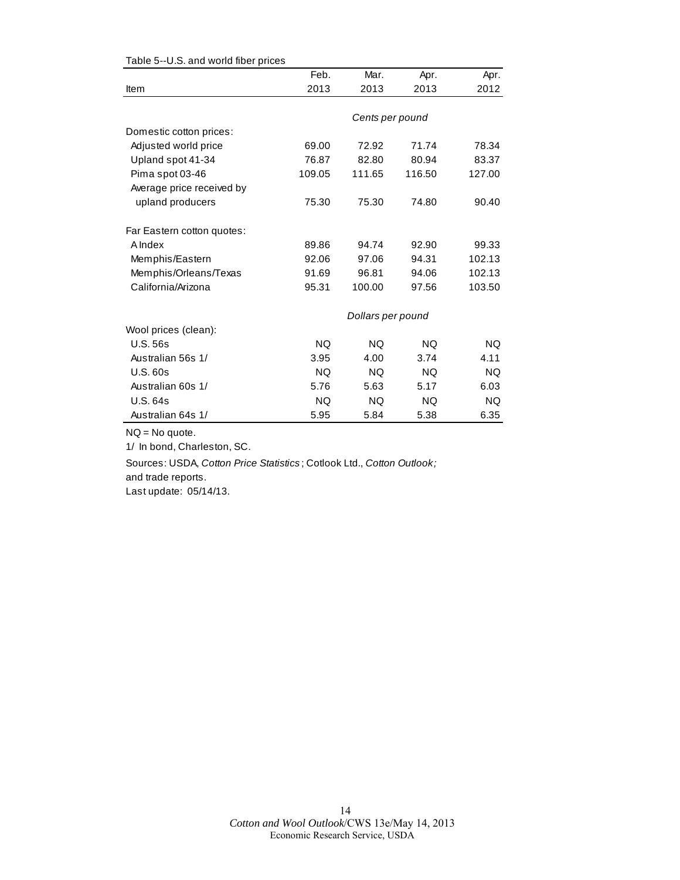|                            | Feb.      | Mar.              | Apr.      | Apr.      |
|----------------------------|-----------|-------------------|-----------|-----------|
| Item                       | 2013      | 2013              | 2013      | 2012      |
|                            |           |                   |           |           |
|                            |           | Cents per pound   |           |           |
| Domestic cotton prices:    |           |                   |           |           |
| Adjusted world price       | 69.00     | 72.92             | 71.74     | 78.34     |
| Upland spot 41-34          | 76.87     | 82.80             | 80.94     | 83.37     |
| Pima spot 03-46            | 109.05    | 111.65            | 116.50    | 127.00    |
| Average price received by  |           |                   |           |           |
| upland producers           | 75.30     | 75.30             | 74.80     | 90.40     |
| Far Eastern cotton quotes: |           |                   |           |           |
| A Index                    | 89.86     | 94.74             | 92.90     | 99.33     |
| Memphis/Eastern            | 92.06     | 97.06             | 94.31     | 102.13    |
| Memphis/Orleans/Texas      | 91.69     | 96.81             | 94.06     | 102.13    |
| California/Arizona         | 95.31     | 100.00            | 97.56     | 103.50    |
|                            |           | Dollars per pound |           |           |
| Wool prices (clean):       |           |                   |           |           |
| U.S.56s                    | <b>NQ</b> | <b>NQ</b>         | <b>NQ</b> | <b>NQ</b> |
| Australian 56s 1/          | 3.95      | 4.00              | 3.74      | 4.11      |
| <b>U.S. 60s</b>            | <b>NQ</b> | <b>NQ</b>         | <b>NQ</b> | <b>NQ</b> |
| Australian 60s 1/          | 5.76      | 5.63              | 5.17      | 6.03      |
| U.S. 64s                   | NQ.       | <b>NQ</b>         | NQ.       | NQ.       |
| Australian 64s 1/          | 5.95      | 5.84              | 5.38      | 6.35      |

#### Table 5--U.S. and world fiber prices

NQ = No quote.

1/ In bond, Charleston, SC.

Sources: USDA, *Cotton Price Statistics* ; Cotlook Ltd., *Cotton Outlook;* 

and trade reports.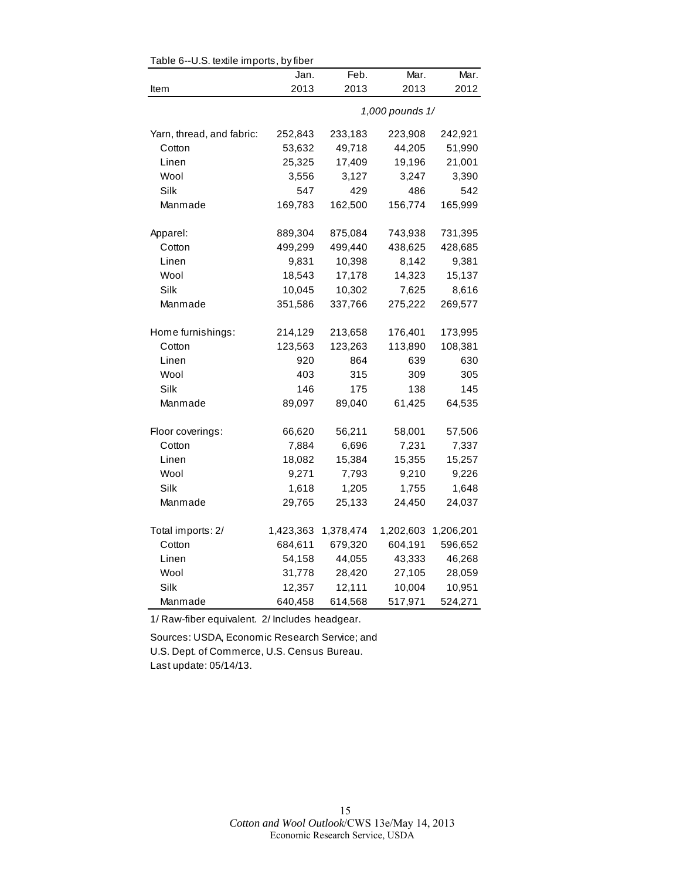| Table 6--U.S. textile imports, by fiber |           |           |                 |           |  |  |
|-----------------------------------------|-----------|-----------|-----------------|-----------|--|--|
|                                         | Jan.      | Feb.      | Mar.            | Mar.      |  |  |
| Item                                    | 2013      | 2013      | 2013            | 2012      |  |  |
|                                         |           |           | 1,000 pounds 1/ |           |  |  |
| Yarn, thread, and fabric:               | 252,843   | 233,183   | 223,908         | 242,921   |  |  |
| Cotton                                  | 53,632    | 49,718    | 44,205          | 51,990    |  |  |
| Linen                                   | 25,325    | 17,409    | 19,196          | 21,001    |  |  |
| Wool                                    | 3,556     | 3,127     | 3,247           | 3,390     |  |  |
| Silk                                    | 547       | 429       | 486             | 542       |  |  |
| Manmade                                 | 169,783   | 162,500   | 156,774         | 165,999   |  |  |
| Apparel:                                | 889,304   | 875,084   | 743,938         | 731,395   |  |  |
| Cotton                                  | 499,299   | 499,440   | 438,625         | 428,685   |  |  |
| Linen                                   | 9,831     | 10,398    | 8,142           | 9,381     |  |  |
| Wool                                    | 18,543    | 17,178    | 14,323          | 15,137    |  |  |
| Silk                                    | 10,045    | 10,302    | 7,625           | 8,616     |  |  |
| Manmade                                 | 351,586   | 337,766   | 275,222         | 269,577   |  |  |
| Home furnishings:                       | 214,129   | 213,658   | 176,401         | 173,995   |  |  |
| Cotton                                  | 123,563   | 123,263   | 113,890         | 108,381   |  |  |
| Linen                                   | 920       | 864       | 639             | 630       |  |  |
| Wool                                    | 403       | 315       | 309             | 305       |  |  |
| Silk                                    | 146       | 175       | 138             | 145       |  |  |
| Manmade                                 | 89,097    | 89,040    | 61,425          | 64,535    |  |  |
| Floor coverings:                        | 66,620    | 56,211    | 58,001          | 57,506    |  |  |
| Cotton                                  | 7,884     | 6,696     | 7,231           | 7,337     |  |  |
| Linen                                   | 18,082    | 15,384    | 15,355          | 15,257    |  |  |
| Wool                                    | 9,271     | 7,793     | 9,210           | 9,226     |  |  |
| Silk                                    | 1,618     | 1,205     | 1,755           | 1,648     |  |  |
| Manmade                                 | 29,765    | 25,133    | 24,450          | 24,037    |  |  |
| Total imports: 2/                       | 1,423,363 | 1,378,474 | 1,202,603       | 1,206,201 |  |  |
| Cotton                                  | 684,611   | 679,320   | 604,191         | 596,652   |  |  |
| Linen                                   | 54,158    | 44,055    | 43,333          | 46,268    |  |  |
| Wool                                    | 31,778    | 28,420    | 27,105          | 28,059    |  |  |
| Silk                                    | 12,357    | 12,111    | 10,004          | 10,951    |  |  |
| Manmade                                 | 640,458   | 614,568   | 517,971         | 524,271   |  |  |

 $Table 6-11$ S. toxtilo imports, by fib

1/ Raw-fiber equivalent. 2/ Includes headgear.

Sources: USDA, Economic Research Service; and U.S. Dept. of Commerce, U.S. Census Bureau. Last update: 05/14/13.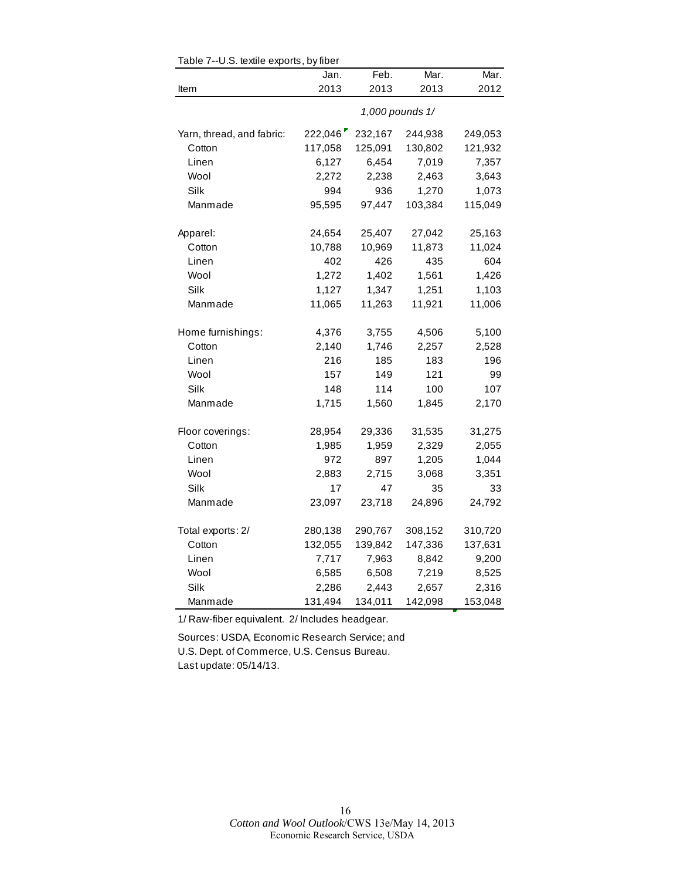|                           | Jan.    | Feb.    | Mar.            | Mar.    |
|---------------------------|---------|---------|-----------------|---------|
| Item                      | 2013    | 2013    | 2013            | 2012    |
|                           |         |         | 1,000 pounds 1/ |         |
| Yarn, thread, and fabric: | 222,046 | 232,167 | 244,938         | 249,053 |
| Cotton                    | 117,058 | 125,091 | 130,802         | 121,932 |
| Linen                     | 6,127   | 6,454   | 7,019           | 7,357   |
| Wool                      | 2,272   | 2,238   | 2,463           | 3,643   |
| Silk                      | 994     | 936     | 1,270           | 1,073   |
| Manmade                   | 95,595  | 97,447  | 103,384         | 115,049 |
| Apparel:                  | 24,654  | 25,407  | 27,042          | 25,163  |
| Cotton                    | 10,788  | 10,969  | 11,873          | 11,024  |
| Linen                     | 402     | 426     | 435             | 604     |
| Wool                      | 1,272   | 1,402   | 1,561           | 1,426   |
| Silk                      | 1,127   | 1,347   | 1,251           | 1,103   |
| Manmade                   | 11,065  | 11,263  | 11,921          | 11,006  |
| Home furnishings:         | 4,376   | 3,755   | 4,506           | 5,100   |
| Cotton                    | 2,140   | 1,746   | 2,257           | 2,528   |
| Linen                     | 216     | 185     | 183             | 196     |
| Wool                      | 157     | 149     | 121             | 99      |
| Silk                      | 148     | 114     | 100             | 107     |
| Manmade                   | 1,715   | 1,560   | 1,845           | 2,170   |
| Floor coverings:          | 28,954  | 29,336  | 31,535          | 31,275  |
| Cotton                    | 1,985   | 1,959   | 2,329           | 2,055   |
| Linen                     | 972     | 897     | 1,205           | 1,044   |
| Wool                      | 2,883   | 2,715   | 3,068           | 3,351   |
| Silk                      | 17      | 47      | 35              | 33      |
| Manmade                   | 23,097  | 23,718  | 24,896          | 24,792  |
| Total exports: 2/         | 280,138 | 290,767 | 308,152         | 310,720 |
| Cotton                    | 132,055 | 139,842 | 147,336         | 137,631 |
| Linen                     | 7,717   | 7,963   | 8,842           | 9,200   |
| Wool                      | 6,585   | 6,508   | 7,219           | 8,525   |
| Silk                      | 2,286   | 2,443   | 2,657           | 2,316   |
| Manmade                   | 131,494 | 134,011 | 142,098         | 153,048 |

Table 7--U.S. textile exports, by fiber

1/ Raw-fiber equivalent. 2/ Includes headgear.

Sources: USDA, Economic Research Service; and U.S. Dept. of Commerce, U.S. Census Bureau. Last update: 05/14/13.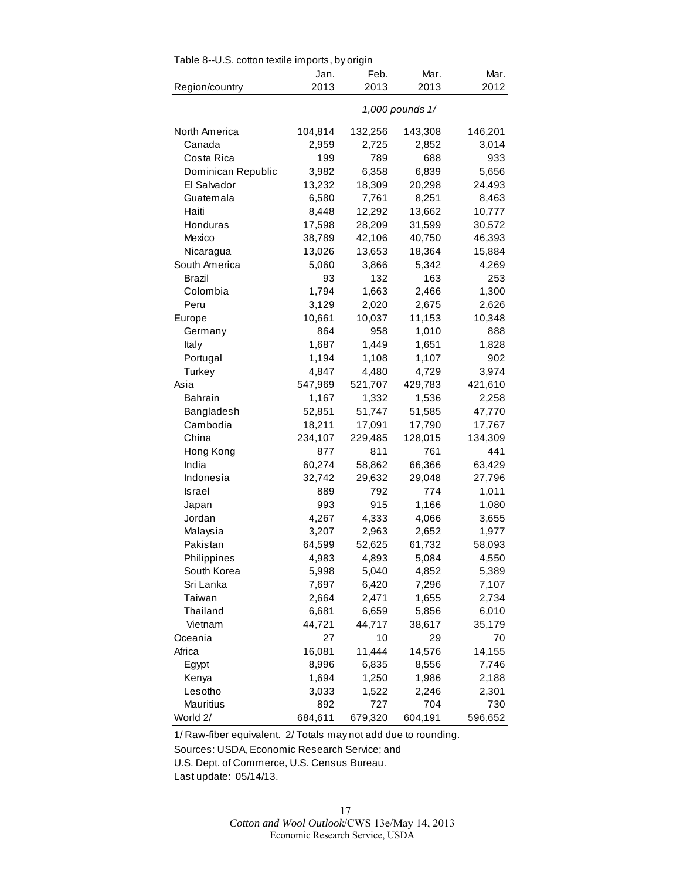| Table 8--U.S. cotton textile imports, by origin |         |         |                 |         |  |
|-------------------------------------------------|---------|---------|-----------------|---------|--|
|                                                 | Jan.    | Feb.    | Mar.            | Mar.    |  |
| Region/country                                  | 2013    | 2013    | 2013            | 2012    |  |
|                                                 |         |         | 1,000 pounds 1/ |         |  |
| North America                                   | 104,814 | 132,256 | 143,308         | 146,201 |  |
| Canada                                          | 2,959   | 2,725   | 2,852           | 3,014   |  |
| Costa Rica                                      | 199     | 789     | 688             | 933     |  |
| Dominican Republic                              | 3,982   | 6,358   | 6,839           | 5,656   |  |
| El Salvador                                     | 13,232  | 18,309  | 20,298          | 24,493  |  |
| Guatemala                                       | 6,580   | 7,761   | 8,251           | 8,463   |  |
| Haiti                                           | 8,448   | 12,292  | 13,662          | 10,777  |  |
| Honduras                                        | 17,598  | 28,209  | 31,599          | 30,572  |  |
| Mexico                                          | 38,789  | 42,106  | 40,750          | 46,393  |  |
| Nicaragua                                       | 13,026  | 13,653  | 18,364          | 15,884  |  |
| South America                                   | 5,060   | 3,866   | 5,342           | 4,269   |  |
| Brazil                                          | 93      | 132     | 163             | 253     |  |
| Colombia                                        | 1,794   | 1,663   | 2,466           | 1,300   |  |
| Peru                                            | 3,129   | 2,020   | 2,675           | 2,626   |  |
| Europe                                          | 10,661  | 10,037  | 11,153          | 10,348  |  |
| Germany                                         | 864     | 958     | 1,010           | 888     |  |
| Italy                                           | 1,687   | 1,449   | 1,651           | 1,828   |  |
| Portugal                                        | 1,194   | 1,108   | 1,107           | 902     |  |
| Turkey                                          | 4,847   | 4,480   | 4,729           | 3,974   |  |
| Asia                                            | 547,969 | 521,707 | 429,783         | 421,610 |  |
| <b>Bahrain</b>                                  | 1,167   | 1,332   | 1,536           | 2,258   |  |
| Bangladesh                                      | 52,851  | 51,747  | 51,585          | 47,770  |  |
| Cambodia                                        | 18,211  | 17,091  | 17,790          | 17,767  |  |
| China                                           | 234,107 | 229,485 | 128,015         | 134,309 |  |
| Hong Kong                                       | 877     | 811     | 761             | 441     |  |
| India                                           | 60,274  | 58,862  | 66,366          | 63,429  |  |
| Indonesia                                       | 32,742  | 29,632  | 29,048          | 27,796  |  |
| Israel                                          | 889     | 792     | 774             | 1,011   |  |
| Japan                                           | 993     | 915     | 1,166           | 1,080   |  |
| Jordan                                          | 4,267   | 4,333   | 4,066           | 3,655   |  |
| Malaysia                                        | 3,207   | 2,963   | 2,652           | 1,977   |  |
| Pakistan                                        | 64,599  | 52,625  | 61,732          | 58,093  |  |
| Philippines                                     | 4,983   | 4,893   | 5,084           | 4,550   |  |
| South Korea                                     | 5,998   | 5,040   | 4,852           | 5,389   |  |
| Sri Lanka                                       | 7,697   | 6,420   | 7,296           | 7,107   |  |
| Taiwan                                          | 2,664   | 2,471   | 1,655           | 2,734   |  |
| Thailand                                        | 6,681   | 6,659   | 5,856           | 6,010   |  |
| Vietnam                                         | 44,721  | 44,717  | 38,617          | 35,179  |  |
| Oceania                                         | 27      | 10      | 29              | 70      |  |
| Africa                                          | 16,081  | 11,444  | 14,576          | 14,155  |  |
| Egypt                                           | 8,996   | 6,835   | 8,556           | 7,746   |  |
| Kenya                                           | 1,694   | 1,250   | 1,986           | 2,188   |  |
| Lesotho                                         | 3,033   | 1,522   | 2,246           | 2,301   |  |
| Mauritius                                       | 892     | 727     | 704             | 730     |  |
| World 2/                                        | 684,611 | 679,320 | 604,191         | 596,652 |  |

1/ Raw-fiber equivalent. 2/ Totals may not add due to rounding.

Sources: USDA, Economic Research Service; and

U.S. Dept. of Commerce, U.S. Census Bureau.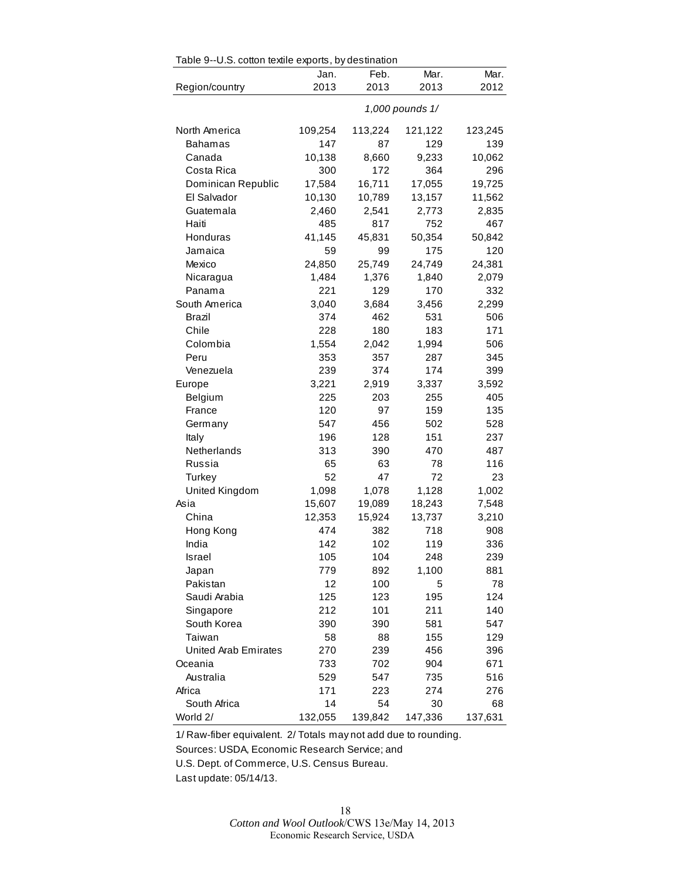| Table 9--U.S. cotton textile exports, by destination |         |         |                 |         |
|------------------------------------------------------|---------|---------|-----------------|---------|
|                                                      | Jan.    | Feb.    | Mar.            | Mar.    |
| Region/country                                       | 2013    | 2013    | 2013            | 2012    |
|                                                      |         |         | 1,000 pounds 1/ |         |
| North America                                        | 109,254 | 113,224 | 121,122         | 123,245 |
| <b>Bahamas</b>                                       | 147     | 87      | 129             | 139     |
| Canada                                               | 10,138  | 8,660   | 9,233           | 10,062  |
| Costa Rica                                           | 300     | 172     | 364             | 296     |
| Dominican Republic                                   | 17,584  | 16,711  | 17,055          | 19,725  |
| El Salvador                                          | 10,130  | 10,789  | 13,157          | 11,562  |
| Guatemala                                            | 2,460   | 2,541   | 2,773           | 2,835   |
| Haiti                                                | 485     | 817     | 752             | 467     |
| Honduras                                             | 41,145  | 45,831  | 50,354          | 50,842  |
| Jamaica                                              | 59      | 99      | 175             | 120     |
| Mexico                                               | 24,850  | 25,749  | 24,749          | 24,381  |
| Nicaragua                                            | 1,484   | 1,376   | 1,840           | 2,079   |
| Panama                                               | 221     | 129     | 170             | 332     |
| South America                                        | 3,040   | 3,684   | 3,456           | 2,299   |
| Brazil                                               | 374     | 462     | 531             | 506     |
| Chile                                                | 228     | 180     | 183             | 171     |
| Colombia                                             | 1,554   | 2,042   | 1,994           | 506     |
| Peru                                                 | 353     | 357     | 287             | 345     |
| Venezuela                                            | 239     | 374     | 174             | 399     |
| Europe                                               | 3,221   | 2,919   | 3,337           | 3,592   |
| Belgium                                              | 225     | 203     | 255             | 405     |
| France                                               | 120     | 97      | 159             | 135     |
| Germany                                              | 547     | 456     | 502             | 528     |
| Italy                                                | 196     | 128     | 151             | 237     |
| Netherlands                                          | 313     | 390     | 470             | 487     |
| Russia                                               | 65      | 63      | 78              | 116     |
| Turkey                                               | 52      | 47      | 72              | 23      |
| United Kingdom                                       | 1,098   | 1,078   | 1,128           | 1,002   |
| Asia                                                 | 15,607  | 19,089  | 18,243          | 7,548   |
| China                                                | 12,353  | 15,924  | 13,737          | 3,210   |
| Hong Kong                                            | 474     | 382     | 718             | 908     |
| India                                                | 142     | 102     | 119             | 336     |
| Israel                                               | 105     | 104     | 248             | 239     |
| Japan                                                | 779     | 892     | 1,100           | 881     |
| Pakistan                                             | 12      | 100     | 5               | 78      |
| Saudi Arabia                                         | 125     | 123     | 195             | 124     |
| Singapore                                            | 212     | 101     | 211             | 140     |
| South Korea                                          | 390     | 390     | 581             | 547     |
| Taiwan                                               | 58      | 88      | 155             | 129     |
| <b>United Arab Emirates</b>                          | 270     | 239     | 456             | 396     |
| Oceania                                              | 733     | 702     | 904             | 671     |
| Australia                                            | 529     | 547     | 735             | 516     |
| Africa                                               | 171     | 223     | 274             | 276     |
| South Africa                                         | 14      | 54      | 30              | 68      |
| World 2/                                             | 132,055 | 139,842 | 147,336         | 137,631 |

Table 9--U.S. cotton textile exports, by destination

1/ Raw-fiber equivalent. 2/ Totals may not add due to rounding.

Sources: USDA, Economic Research Service; and

U.S. Dept. of Commerce, U.S. Census Bureau.